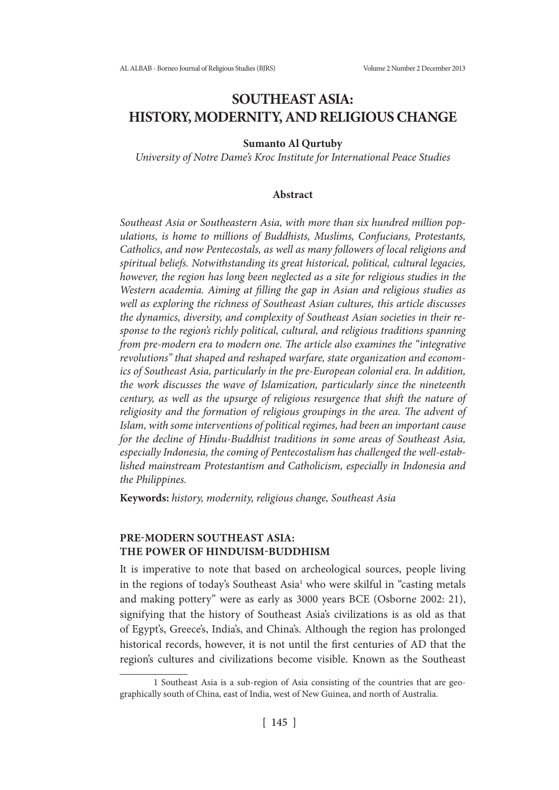# **SOUTHEAST ASIA: HISTORY, MODERNITY, AND RELIGIOUS CHANGE**

### **Sumanto Al Qurtuby**

*University of Notre Dame's Kroc Institute for International Peace Studies*

#### **Abstract**

*Southeast Asia or Southeastern Asia, with more than six hundred million populations, is home to millions of Buddhists, Muslims, Confucians, Protestants, Catholics, and now Pentecostals, as well as many followers of local religions and spiritual beliefs. Notwithstanding its great historical, political, cultural legacies, however, the region has long been neglected as a site for religious studies in the Western academia. Aiming at filling the gap in Asian and religious studies as well as exploring the richness of Southeast Asian cultures, this article discusses the dynamics, diversity, and complexity of Southeast Asian societies in their response to the region's richly political, cultural, and religious traditions spanning from pre-modern era to modern one. The article also examines the "integrative revolutions" that shaped and reshaped warfare, state organization and economics of Southeast Asia, particularly in the pre-European colonial era. In addition, the work discusses the wave of Islamization, particularly since the nineteenth century, as well as the upsurge of religious resurgence that shift the nature of religiosity and the formation of religious groupings in the area. The advent of Islam, with some interventions of political regimes, had been an important cause for the decline of Hindu-Buddhist traditions in some areas of Southeast Asia, especially Indonesia, the coming of Pentecostalism has challenged the well-established mainstream Protestantism and Catholicism, especially in Indonesia and the Philippines.* 

**Keywords:** *history, modernity, religious change, Southeast Asia*

# **PRE-MODERN SOUTHEAST ASIA: THE POWER OF HINDUISM-BUDDHISM**

It is imperative to note that based on archeological sources, people living in the regions of today's Southeast Asia<sup>1</sup> who were skilful in "casting metals and making pottery" were as early as 3000 years BCE (Osborne 2002: 21), signifying that the history of Southeast Asia's civilizations is as old as that of Egypt's, Greece's, India's, and China's. Although the region has prolonged historical records, however, it is not until the first centuries of AD that the region's cultures and civilizations become visible. Known as the Southeast

<sup>1</sup> Southeast Asia is a sub-region of Asia consisting of the countries that are geographically south of China, east of India, west of New Guinea, and north of Australia.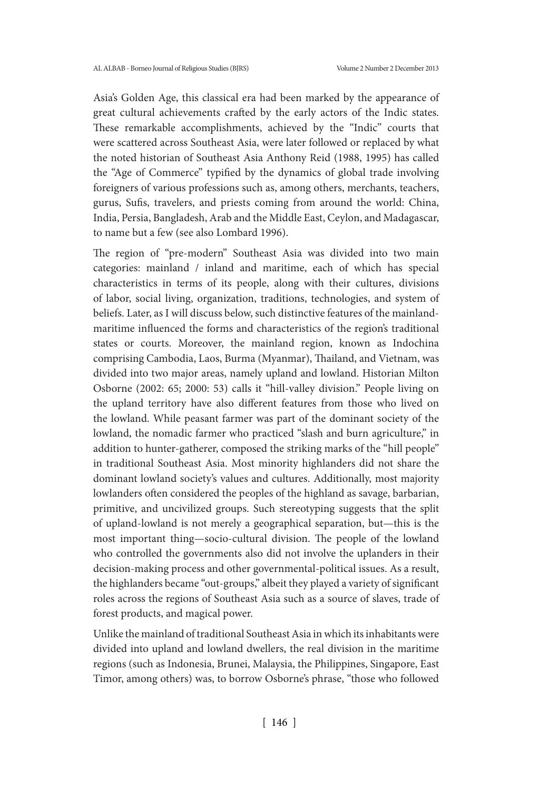Asia's Golden Age, this classical era had been marked by the appearance of great cultural achievements crafted by the early actors of the Indic states. These remarkable accomplishments, achieved by the "Indic" courts that were scattered across Southeast Asia, were later followed or replaced by what the noted historian of Southeast Asia Anthony Reid (1988, 1995) has called the "Age of Commerce" typified by the dynamics of global trade involving foreigners of various professions such as, among others, merchants, teachers, gurus, Sufis, travelers, and priests coming from around the world: China, India, Persia, Bangladesh, Arab and the Middle East, Ceylon, and Madagascar, to name but a few (see also Lombard 1996).

The region of "pre-modern" Southeast Asia was divided into two main categories: mainland / inland and maritime, each of which has special characteristics in terms of its people, along with their cultures, divisions of labor, social living, organization, traditions, technologies, and system of beliefs. Later, as I will discuss below, such distinctive features of the mainlandmaritime influenced the forms and characteristics of the region's traditional states or courts. Moreover, the mainland region, known as Indochina comprising Cambodia, Laos, Burma (Myanmar), Thailand, and Vietnam, was divided into two major areas, namely upland and lowland. Historian Milton Osborne (2002: 65; 2000: 53) calls it "hill-valley division." People living on the upland territory have also different features from those who lived on the lowland. While peasant farmer was part of the dominant society of the lowland, the nomadic farmer who practiced "slash and burn agriculture," in addition to hunter-gatherer, composed the striking marks of the "hill people" in traditional Southeast Asia. Most minority highlanders did not share the dominant lowland society's values and cultures. Additionally, most majority lowlanders often considered the peoples of the highland as savage, barbarian, primitive, and uncivilized groups. Such stereotyping suggests that the split of upland-lowland is not merely a geographical separation, but—this is the most important thing—socio-cultural division. The people of the lowland who controlled the governments also did not involve the uplanders in their decision-making process and other governmental-political issues. As a result, the highlanders became "out-groups," albeit they played a variety of significant roles across the regions of Southeast Asia such as a source of slaves, trade of forest products, and magical power.

Unlike the mainland of traditional Southeast Asia in which its inhabitants were divided into upland and lowland dwellers, the real division in the maritime regions (such as Indonesia, Brunei, Malaysia, the Philippines, Singapore, East Timor, among others) was, to borrow Osborne's phrase, "those who followed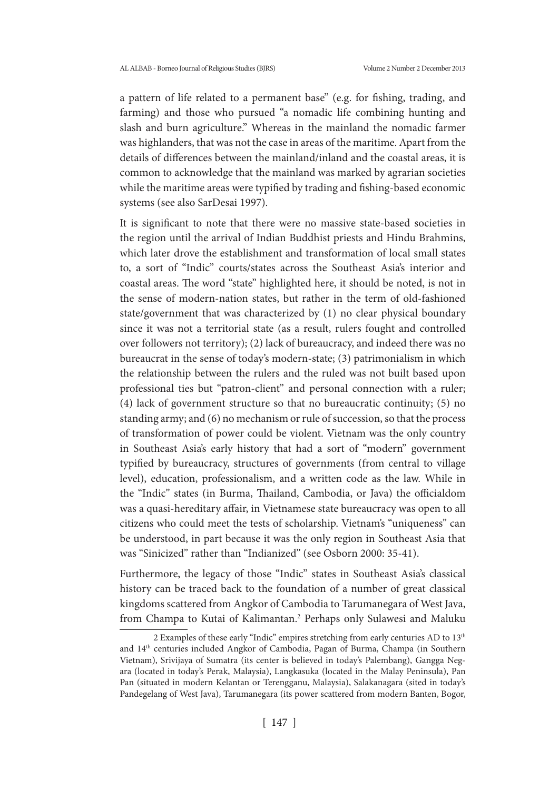a pattern of life related to a permanent base" (e.g. for fishing, trading, and farming) and those who pursued "a nomadic life combining hunting and slash and burn agriculture." Whereas in the mainland the nomadic farmer was highlanders, that was not the case in areas of the maritime. Apart from the details of differences between the mainland/inland and the coastal areas, it is common to acknowledge that the mainland was marked by agrarian societies while the maritime areas were typified by trading and fishing-based economic systems (see also SarDesai 1997).

It is significant to note that there were no massive state-based societies in the region until the arrival of Indian Buddhist priests and Hindu Brahmins, which later drove the establishment and transformation of local small states to, a sort of "Indic" courts/states across the Southeast Asia's interior and coastal areas. The word "state" highlighted here, it should be noted, is not in the sense of modern-nation states, but rather in the term of old-fashioned state/government that was characterized by (1) no clear physical boundary since it was not a territorial state (as a result, rulers fought and controlled over followers not territory); (2) lack of bureaucracy, and indeed there was no bureaucrat in the sense of today's modern-state; (3) patrimonialism in which the relationship between the rulers and the ruled was not built based upon professional ties but "patron-client" and personal connection with a ruler; (4) lack of government structure so that no bureaucratic continuity; (5) no standing army; and (6) no mechanism or rule of succession, so that the process of transformation of power could be violent. Vietnam was the only country in Southeast Asia's early history that had a sort of "modern" government typified by bureaucracy, structures of governments (from central to village level), education, professionalism, and a written code as the law. While in the "Indic" states (in Burma, Thailand, Cambodia, or Java) the officialdom was a quasi-hereditary affair, in Vietnamese state bureaucracy was open to all citizens who could meet the tests of scholarship. Vietnam's "uniqueness" can be understood, in part because it was the only region in Southeast Asia that was "Sinicized" rather than "Indianized" (see Osborn 2000: 35-41).

Furthermore, the legacy of those "Indic" states in Southeast Asia's classical history can be traced back to the foundation of a number of great classical kingdoms scattered from Angkor of Cambodia to Tarumanegara of West Java, from Champa to Kutai of Kalimantan.2 Perhaps only Sulawesi and Maluku

<sup>2</sup> Examples of these early "Indic" empires stretching from early centuries AD to 13<sup>th</sup> and 14th centuries included Angkor of Cambodia, Pagan of Burma, Champa (in Southern Vietnam), Srivijaya of Sumatra (its center is believed in today's Palembang), Gangga Negara (located in today's Perak, Malaysia), Langkasuka (located in the Malay Peninsula), Pan Pan (situated in modern Kelantan or Terengganu, Malaysia), Salakanagara (sited in today's Pandegelang of West Java), Tarumanegara (its power scattered from modern Banten, Bogor,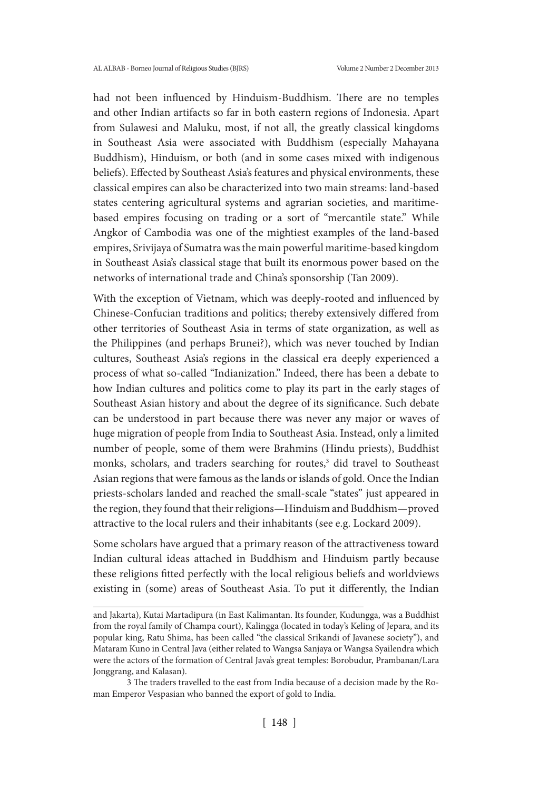had not been influenced by Hinduism-Buddhism. There are no temples and other Indian artifacts so far in both eastern regions of Indonesia. Apart from Sulawesi and Maluku, most, if not all, the greatly classical kingdoms in Southeast Asia were associated with Buddhism (especially Mahayana Buddhism), Hinduism, or both (and in some cases mixed with indigenous beliefs). Effected by Southeast Asia's features and physical environments, these classical empires can also be characterized into two main streams: land-based states centering agricultural systems and agrarian societies, and maritimebased empires focusing on trading or a sort of "mercantile state." While Angkor of Cambodia was one of the mightiest examples of the land-based empires, Srivijaya of Sumatra was the main powerful maritime-based kingdom in Southeast Asia's classical stage that built its enormous power based on the networks of international trade and China's sponsorship (Tan 2009).

With the exception of Vietnam, which was deeply-rooted and influenced by Chinese-Confucian traditions and politics; thereby extensively differed from other territories of Southeast Asia in terms of state organization, as well as the Philippines (and perhaps Brunei?), which was never touched by Indian cultures, Southeast Asia's regions in the classical era deeply experienced a process of what so-called "Indianization." Indeed, there has been a debate to how Indian cultures and politics come to play its part in the early stages of Southeast Asian history and about the degree of its significance. Such debate can be understood in part because there was never any major or waves of huge migration of people from India to Southeast Asia. Instead, only a limited number of people, some of them were Brahmins (Hindu priests), Buddhist monks, scholars, and traders searching for routes,<sup>3</sup> did travel to Southeast Asian regions that were famous as the lands or islands of gold. Once the Indian priests-scholars landed and reached the small-scale "states" just appeared in the region, they found that their religions—Hinduism and Buddhism—proved attractive to the local rulers and their inhabitants (see e.g. Lockard 2009).

Some scholars have argued that a primary reason of the attractiveness toward Indian cultural ideas attached in Buddhism and Hinduism partly because these religions fitted perfectly with the local religious beliefs and worldviews existing in (some) areas of Southeast Asia. To put it differently, the Indian

and Jakarta), Kutai Martadipura (in East Kalimantan. Its founder, Kudungga, was a Buddhist from the royal family of Champa court), Kalingga (located in today's Keling of Jepara, and its popular king, Ratu Shima, has been called "the classical Srikandi of Javanese society"), and Mataram Kuno in Central Java (either related to Wangsa Sanjaya or Wangsa Syailendra which were the actors of the formation of Central Java's great temples: Borobudur, Prambanan/Lara Jonggrang, and Kalasan).

<sup>3</sup> The traders travelled to the east from India because of a decision made by the Roman Emperor Vespasian who banned the export of gold to India.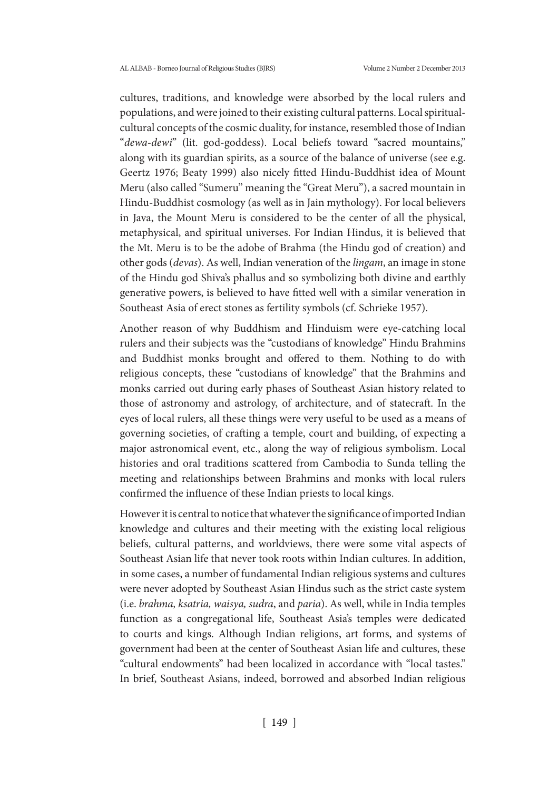cultures, traditions, and knowledge were absorbed by the local rulers and populations, and were joined to their existing cultural patterns. Local spiritualcultural concepts of the cosmic duality, for instance, resembled those of Indian "*dewa-dewi*" (lit. god-goddess). Local beliefs toward "sacred mountains," along with its guardian spirits, as a source of the balance of universe (see e.g. Geertz 1976; Beaty 1999) also nicely fitted Hindu-Buddhist idea of Mount Meru (also called "Sumeru" meaning the "Great Meru"), a sacred mountain in Hindu-Buddhist cosmology (as well as in Jain mythology). For local believers in Java, the Mount Meru is considered to be the center of all the physical, metaphysical, and spiritual universes. For Indian Hindus, it is believed that the Mt. Meru is to be the adobe of Brahma (the Hindu god of creation) and other gods (*devas*). As well, Indian veneration of the *lingam*, an image in stone of the Hindu god Shiva's phallus and so symbolizing both divine and earthly generative powers, is believed to have fitted well with a similar veneration in Southeast Asia of erect stones as fertility symbols (cf. Schrieke 1957).

Another reason of why Buddhism and Hinduism were eye-catching local rulers and their subjects was the "custodians of knowledge" Hindu Brahmins and Buddhist monks brought and offered to them. Nothing to do with religious concepts, these "custodians of knowledge" that the Brahmins and monks carried out during early phases of Southeast Asian history related to those of astronomy and astrology, of architecture, and of statecraft. In the eyes of local rulers, all these things were very useful to be used as a means of governing societies, of crafting a temple, court and building, of expecting a major astronomical event, etc., along the way of religious symbolism. Local histories and oral traditions scattered from Cambodia to Sunda telling the meeting and relationships between Brahmins and monks with local rulers confirmed the influence of these Indian priests to local kings.

However it is central to notice that whatever the significance of imported Indian knowledge and cultures and their meeting with the existing local religious beliefs, cultural patterns, and worldviews, there were some vital aspects of Southeast Asian life that never took roots within Indian cultures. In addition, in some cases, a number of fundamental Indian religious systems and cultures were never adopted by Southeast Asian Hindus such as the strict caste system (i.e. *brahma, ksatria, waisya, sudra*, and *paria*). As well, while in India temples function as a congregational life, Southeast Asia's temples were dedicated to courts and kings. Although Indian religions, art forms, and systems of government had been at the center of Southeast Asian life and cultures, these "cultural endowments" had been localized in accordance with "local tastes." In brief, Southeast Asians, indeed, borrowed and absorbed Indian religious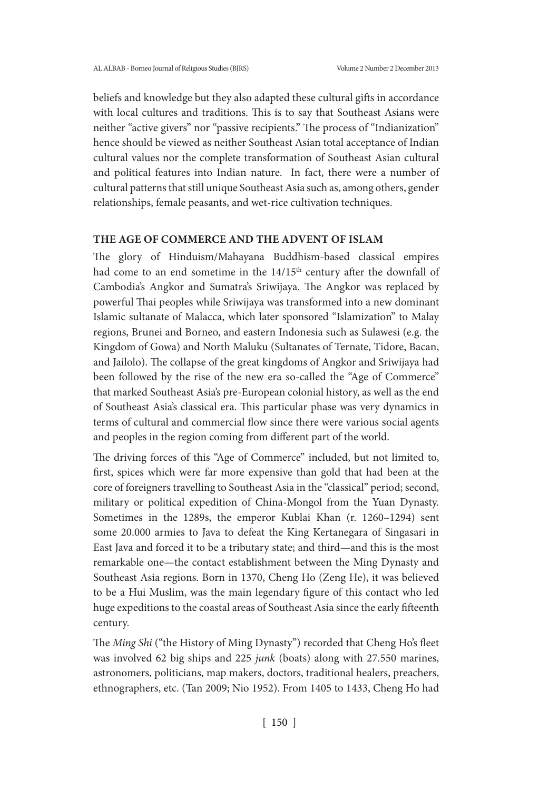beliefs and knowledge but they also adapted these cultural gifts in accordance with local cultures and traditions. This is to say that Southeast Asians were neither "active givers" nor "passive recipients." The process of "Indianization" hence should be viewed as neither Southeast Asian total acceptance of Indian cultural values nor the complete transformation of Southeast Asian cultural and political features into Indian nature. In fact, there were a number of cultural patterns that still unique Southeast Asia such as, among others, gender relationships, female peasants, and wet-rice cultivation techniques.

#### **THE AGE OF COMMERCE AND THE ADVENT OF ISLAM**

The glory of Hinduism/Mahayana Buddhism-based classical empires had come to an end sometime in the  $14/15<sup>th</sup>$  century after the downfall of Cambodia's Angkor and Sumatra's Sriwijaya. The Angkor was replaced by powerful Thai peoples while Sriwijaya was transformed into a new dominant Islamic sultanate of Malacca, which later sponsored "Islamization" to Malay regions, Brunei and Borneo, and eastern Indonesia such as Sulawesi (e.g. the Kingdom of Gowa) and North Maluku (Sultanates of Ternate, Tidore, Bacan, and Jailolo). The collapse of the great kingdoms of Angkor and Sriwijaya had been followed by the rise of the new era so-called the "Age of Commerce" that marked Southeast Asia's pre-European colonial history, as well as the end of Southeast Asia's classical era. This particular phase was very dynamics in terms of cultural and commercial flow since there were various social agents and peoples in the region coming from different part of the world.

The driving forces of this "Age of Commerce" included, but not limited to, first, spices which were far more expensive than gold that had been at the core of foreigners travelling to Southeast Asia in the "classical" period; second, military or political expedition of China-Mongol from the Yuan Dynasty. Sometimes in the 1289s, the emperor Kublai Khan (r. 1260–1294) sent some 20.000 armies to Java to defeat the King Kertanegara of Singasari in East Java and forced it to be a tributary state; and third—and this is the most remarkable one—the contact establishment between the Ming Dynasty and Southeast Asia regions. Born in 1370, Cheng Ho (Zeng He), it was believed to be a Hui Muslim, was the main legendary figure of this contact who led huge expeditions to the coastal areas of Southeast Asia since the early fifteenth century.

The *Ming Shi* ("the History of Ming Dynasty") recorded that Cheng Ho's fleet was involved 62 big ships and 225 *junk* (boats) along with 27.550 marines, astronomers, politicians, map makers, doctors, traditional healers, preachers, ethnographers, etc. (Tan 2009; Nio 1952). From 1405 to 1433, Cheng Ho had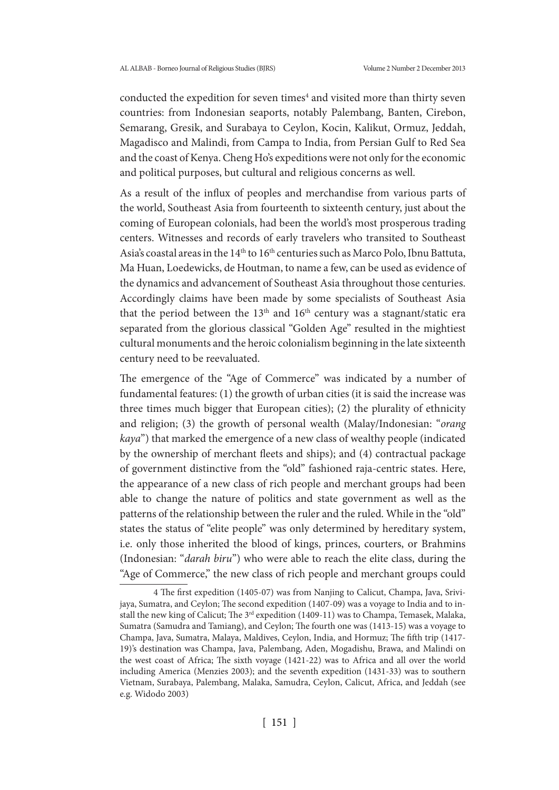conducted the expedition for seven times<sup>4</sup> and visited more than thirty seven countries: from Indonesian seaports, notably Palembang, Banten, Cirebon, Semarang, Gresik, and Surabaya to Ceylon, Kocin, Kalikut, Ormuz, Jeddah, Magadisco and Malindi, from Campa to India, from Persian Gulf to Red Sea and the coast of Kenya. Cheng Ho's expeditions were not only for the economic and political purposes, but cultural and religious concerns as well.

As a result of the influx of peoples and merchandise from various parts of the world, Southeast Asia from fourteenth to sixteenth century, just about the coming of European colonials, had been the world's most prosperous trading centers. Witnesses and records of early travelers who transited to Southeast Asia's coastal areas in the  $14<sup>th</sup>$  to  $16<sup>th</sup>$  centuries such as Marco Polo, Ibnu Battuta, Ma Huan, Loedewicks, de Houtman, to name a few, can be used as evidence of the dynamics and advancement of Southeast Asia throughout those centuries. Accordingly claims have been made by some specialists of Southeast Asia that the period between the  $13<sup>th</sup>$  and  $16<sup>th</sup>$  century was a stagnant/static era separated from the glorious classical "Golden Age" resulted in the mightiest cultural monuments and the heroic colonialism beginning in the late sixteenth century need to be reevaluated.

The emergence of the "Age of Commerce" was indicated by a number of fundamental features: (1) the growth of urban cities (it is said the increase was three times much bigger that European cities); (2) the plurality of ethnicity and religion; (3) the growth of personal wealth (Malay/Indonesian: "*orang kaya*") that marked the emergence of a new class of wealthy people (indicated by the ownership of merchant fleets and ships); and (4) contractual package of government distinctive from the "old" fashioned raja-centric states. Here, the appearance of a new class of rich people and merchant groups had been able to change the nature of politics and state government as well as the patterns of the relationship between the ruler and the ruled. While in the "old" states the status of "elite people" was only determined by hereditary system, i.e. only those inherited the blood of kings, princes, courters, or Brahmins (Indonesian: "*darah biru*") who were able to reach the elite class, during the "Age of Commerce," the new class of rich people and merchant groups could

<sup>4</sup> The first expedition (1405-07) was from Nanjing to Calicut, Champa, Java, Srivijaya, Sumatra, and Ceylon; The second expedition (1407-09) was a voyage to India and to install the new king of Calicut; The 3<sup>rd</sup> expedition (1409-11) was to Champa, Temasek, Malaka, Sumatra (Samudra and Tamiang), and Ceylon; The fourth one was (1413-15) was a voyage to Champa, Java, Sumatra, Malaya, Maldives, Ceylon, India, and Hormuz; The fifth trip (1417- 19)'s destination was Champa, Java, Palembang, Aden, Mogadishu, Brawa, and Malindi on the west coast of Africa; The sixth voyage (1421-22) was to Africa and all over the world including America (Menzies 2003); and the seventh expedition (1431-33) was to southern Vietnam, Surabaya, Palembang, Malaka, Samudra, Ceylon, Calicut, Africa, and Jeddah (see e.g. Widodo 2003)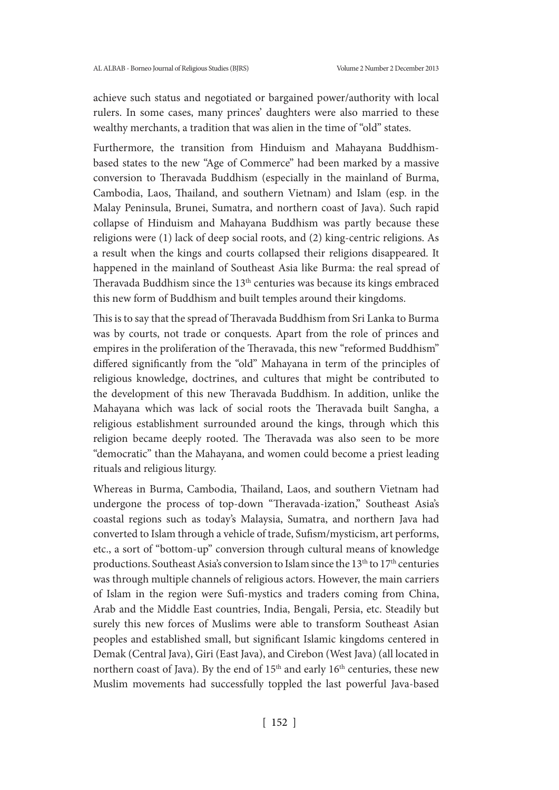achieve such status and negotiated or bargained power/authority with local rulers. In some cases, many princes' daughters were also married to these wealthy merchants, a tradition that was alien in the time of "old" states.

Furthermore, the transition from Hinduism and Mahayana Buddhismbased states to the new "Age of Commerce" had been marked by a massive conversion to Theravada Buddhism (especially in the mainland of Burma, Cambodia, Laos, Thailand, and southern Vietnam) and Islam (esp. in the Malay Peninsula, Brunei, Sumatra, and northern coast of Java). Such rapid collapse of Hinduism and Mahayana Buddhism was partly because these religions were (1) lack of deep social roots, and (2) king-centric religions. As a result when the kings and courts collapsed their religions disappeared. It happened in the mainland of Southeast Asia like Burma: the real spread of Theravada Buddhism since the 13<sup>th</sup> centuries was because its kings embraced this new form of Buddhism and built temples around their kingdoms.

This is to say that the spread of Theravada Buddhism from Sri Lanka to Burma was by courts, not trade or conquests. Apart from the role of princes and empires in the proliferation of the Theravada, this new "reformed Buddhism" differed significantly from the "old" Mahayana in term of the principles of religious knowledge, doctrines, and cultures that might be contributed to the development of this new Theravada Buddhism. In addition, unlike the Mahayana which was lack of social roots the Theravada built Sangha, a religious establishment surrounded around the kings, through which this religion became deeply rooted. The Theravada was also seen to be more "democratic" than the Mahayana, and women could become a priest leading rituals and religious liturgy.

Whereas in Burma, Cambodia, Thailand, Laos, and southern Vietnam had undergone the process of top-down "Theravada-ization," Southeast Asia's coastal regions such as today's Malaysia, Sumatra, and northern Java had converted to Islam through a vehicle of trade, Sufism/mysticism, art performs, etc., a sort of "bottom-up" conversion through cultural means of knowledge productions. Southeast Asia's conversion to Islam since the 13<sup>th</sup> to 17<sup>th</sup> centuries was through multiple channels of religious actors. However, the main carriers of Islam in the region were Sufi-mystics and traders coming from China, Arab and the Middle East countries, India, Bengali, Persia, etc. Steadily but surely this new forces of Muslims were able to transform Southeast Asian peoples and established small, but significant Islamic kingdoms centered in Demak (Central Java), Giri (East Java), and Cirebon (West Java) (all located in northern coast of Java). By the end of  $15<sup>th</sup>$  and early  $16<sup>th</sup>$  centuries, these new Muslim movements had successfully toppled the last powerful Java-based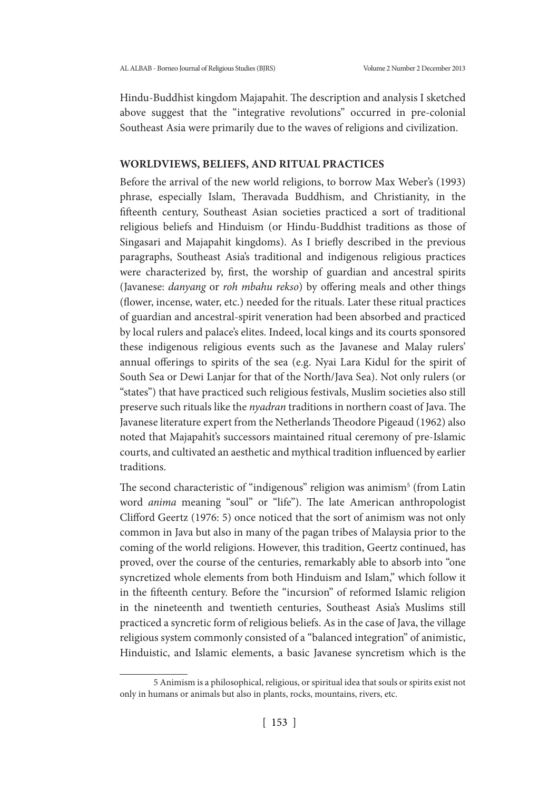Hindu-Buddhist kingdom Majapahit. The description and analysis I sketched above suggest that the "integrative revolutions" occurred in pre-colonial Southeast Asia were primarily due to the waves of religions and civilization.

## **WORLDVIEWS, BELIEFS, AND RITUAL PRACTICES**

Before the arrival of the new world religions, to borrow Max Weber's (1993) phrase, especially Islam, Theravada Buddhism, and Christianity, in the fifteenth century, Southeast Asian societies practiced a sort of traditional religious beliefs and Hinduism (or Hindu-Buddhist traditions as those of Singasari and Majapahit kingdoms). As I briefly described in the previous paragraphs, Southeast Asia's traditional and indigenous religious practices were characterized by, first, the worship of guardian and ancestral spirits (Javanese: *danyang* or *roh mbahu rekso*) by offering meals and other things (flower, incense, water, etc.) needed for the rituals. Later these ritual practices of guardian and ancestral-spirit veneration had been absorbed and practiced by local rulers and palace's elites. Indeed, local kings and its courts sponsored these indigenous religious events such as the Javanese and Malay rulers' annual offerings to spirits of the sea (e.g. Nyai Lara Kidul for the spirit of South Sea or Dewi Lanjar for that of the North/Java Sea). Not only rulers (or "states") that have practiced such religious festivals, Muslim societies also still preserve such rituals like the *nyadran* traditions in northern coast of Java. The Javanese literature expert from the Netherlands Theodore Pigeaud (1962) also noted that Majapahit's successors maintained ritual ceremony of pre-Islamic courts, and cultivated an aesthetic and mythical tradition influenced by earlier traditions.

The second characteristic of "indigenous" religion was animism<sup>5</sup> (from Latin word *anima* meaning "soul" or "life"). The late American anthropologist Clifford Geertz (1976: 5) once noticed that the sort of animism was not only common in Java but also in many of the pagan tribes of Malaysia prior to the coming of the world religions. However, this tradition, Geertz continued, has proved, over the course of the centuries, remarkably able to absorb into "one syncretized whole elements from both Hinduism and Islam," which follow it in the fifteenth century. Before the "incursion" of reformed Islamic religion in the nineteenth and twentieth centuries, Southeast Asia's Muslims still practiced a syncretic form of religious beliefs. As in the case of Java, the village religious system commonly consisted of a "balanced integration" of animistic, Hinduistic, and Islamic elements, a basic Javanese syncretism which is the

<sup>5</sup> Animism is a philosophical, religious, or spiritual idea that souls or spirits exist not only in humans or animals but also in plants, rocks, mountains, rivers, etc.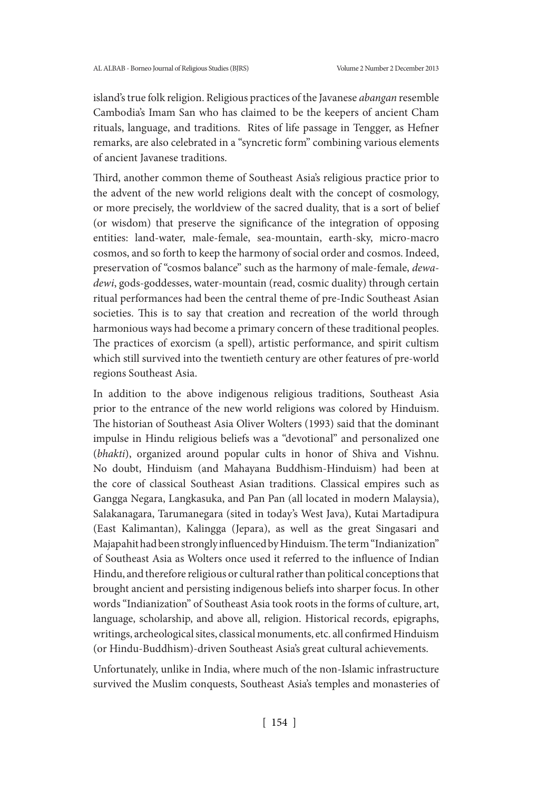island's true folk religion. Religious practices of the Javanese *abangan* resemble Cambodia's Imam San who has claimed to be the keepers of ancient Cham rituals, language, and traditions. Rites of life passage in Tengger, as Hefner remarks, are also celebrated in a "syncretic form" combining various elements of ancient Javanese traditions.

Third, another common theme of Southeast Asia's religious practice prior to the advent of the new world religions dealt with the concept of cosmology, or more precisely, the worldview of the sacred duality, that is a sort of belief (or wisdom) that preserve the significance of the integration of opposing entities: land-water, male-female, sea-mountain, earth-sky, micro-macro cosmos, and so forth to keep the harmony of social order and cosmos. Indeed, preservation of "cosmos balance" such as the harmony of male-female, *dewadewi*, gods-goddesses, water-mountain (read, cosmic duality) through certain ritual performances had been the central theme of pre-Indic Southeast Asian societies. This is to say that creation and recreation of the world through harmonious ways had become a primary concern of these traditional peoples. The practices of exorcism (a spell), artistic performance, and spirit cultism which still survived into the twentieth century are other features of pre-world regions Southeast Asia.

In addition to the above indigenous religious traditions, Southeast Asia prior to the entrance of the new world religions was colored by Hinduism. The historian of Southeast Asia Oliver Wolters (1993) said that the dominant impulse in Hindu religious beliefs was a "devotional" and personalized one (*bhakti*), organized around popular cults in honor of Shiva and Vishnu. No doubt, Hinduism (and Mahayana Buddhism-Hinduism) had been at the core of classical Southeast Asian traditions. Classical empires such as Gangga Negara, Langkasuka, and Pan Pan (all located in modern Malaysia), Salakanagara, Tarumanegara (sited in today's West Java), Kutai Martadipura (East Kalimantan), Kalingga (Jepara), as well as the great Singasari and Majapahit had been strongly influenced by Hinduism. The term "Indianization" of Southeast Asia as Wolters once used it referred to the influence of Indian Hindu, and therefore religious or cultural rather than political conceptions that brought ancient and persisting indigenous beliefs into sharper focus. In other words "Indianization" of Southeast Asia took roots in the forms of culture, art, language, scholarship, and above all, religion. Historical records, epigraphs, writings, archeological sites, classical monuments, etc. all confirmed Hinduism (or Hindu-Buddhism)-driven Southeast Asia's great cultural achievements.

Unfortunately, unlike in India, where much of the non-Islamic infrastructure survived the Muslim conquests, Southeast Asia's temples and monasteries of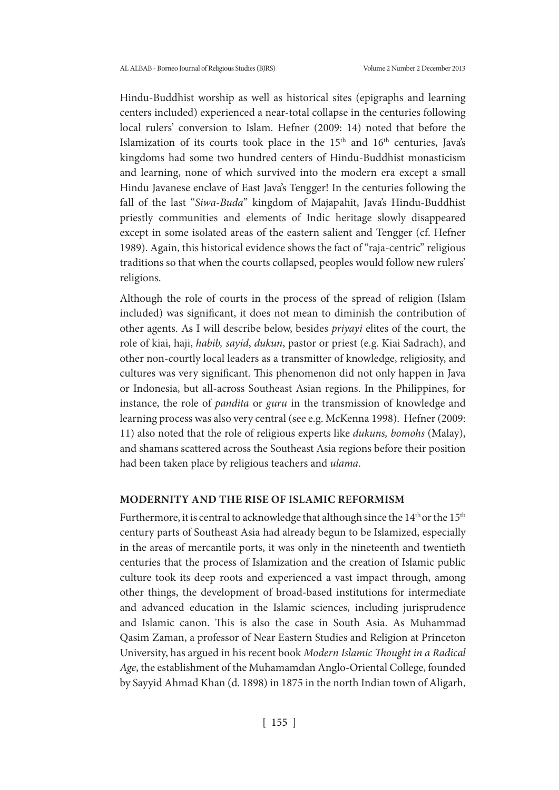Hindu-Buddhist worship as well as historical sites (epigraphs and learning centers included) experienced a near-total collapse in the centuries following local rulers' conversion to Islam. Hefner (2009: 14) noted that before the Islamization of its courts took place in the  $15<sup>th</sup>$  and  $16<sup>th</sup>$  centuries, Java's kingdoms had some two hundred centers of Hindu-Buddhist monasticism and learning, none of which survived into the modern era except a small Hindu Javanese enclave of East Java's Tengger! In the centuries following the fall of the last "*Siwa-Buda*" kingdom of Majapahit, Java's Hindu-Buddhist priestly communities and elements of Indic heritage slowly disappeared except in some isolated areas of the eastern salient and Tengger (cf. Hefner 1989). Again, this historical evidence shows the fact of "raja-centric" religious traditions so that when the courts collapsed, peoples would follow new rulers' religions.

Although the role of courts in the process of the spread of religion (Islam included) was significant, it does not mean to diminish the contribution of other agents. As I will describe below, besides *priyayi* elites of the court, the role of kiai, haji, *habib, sayid*, *dukun*, pastor or priest (e.g. Kiai Sadrach), and other non-courtly local leaders as a transmitter of knowledge, religiosity, and cultures was very significant. This phenomenon did not only happen in Java or Indonesia, but all-across Southeast Asian regions. In the Philippines, for instance, the role of *pandita* or *guru* in the transmission of knowledge and learning process was also very central (see e.g. McKenna 1998). Hefner (2009: 11) also noted that the role of religious experts like *dukuns, bomohs* (Malay), and shamans scattered across the Southeast Asia regions before their position had been taken place by religious teachers and *ulama*.

## **MODERNITY AND THE RISE OF ISLAMIC REFORMISM**

Furthermore, it is central to acknowledge that although since the  $14<sup>th</sup>$  or the  $15<sup>th</sup>$ century parts of Southeast Asia had already begun to be Islamized, especially in the areas of mercantile ports, it was only in the nineteenth and twentieth centuries that the process of Islamization and the creation of Islamic public culture took its deep roots and experienced a vast impact through, among other things, the development of broad-based institutions for intermediate and advanced education in the Islamic sciences, including jurisprudence and Islamic canon. This is also the case in South Asia. As Muhammad Qasim Zaman, a professor of Near Eastern Studies and Religion at Princeton University, has argued in his recent book *Modern Islamic Thought in a Radical Age*, the establishment of the Muhamamdan Anglo-Oriental College, founded by Sayyid Ahmad Khan (d. 1898) in 1875 in the north Indian town of Aligarh,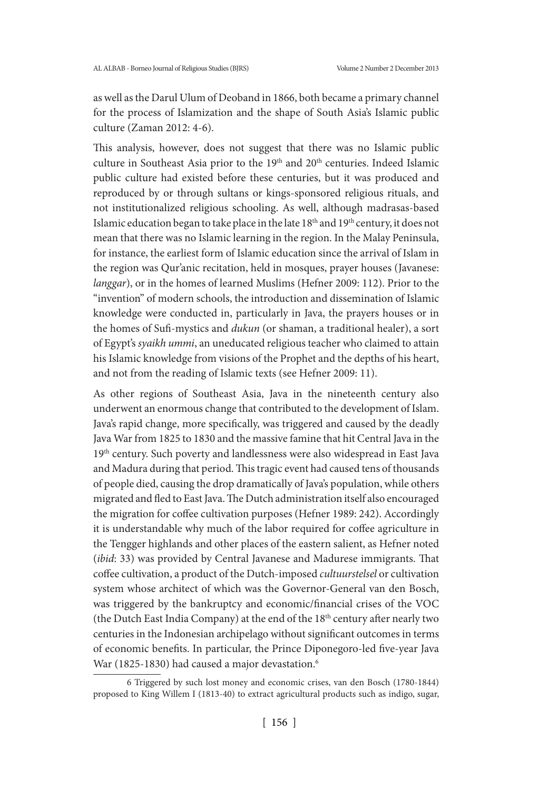as well as the Darul Ulum of Deoband in 1866, both became a primary channel for the process of Islamization and the shape of South Asia's Islamic public culture (Zaman 2012: 4-6).

This analysis, however, does not suggest that there was no Islamic public culture in Southeast Asia prior to the 19<sup>th</sup> and 20<sup>th</sup> centuries. Indeed Islamic public culture had existed before these centuries, but it was produced and reproduced by or through sultans or kings-sponsored religious rituals, and not institutionalized religious schooling. As well, although madrasas-based Islamic education began to take place in the late  $18<sup>th</sup>$  and  $19<sup>th</sup>$  century, it does not mean that there was no Islamic learning in the region. In the Malay Peninsula, for instance, the earliest form of Islamic education since the arrival of Islam in the region was Qur'anic recitation, held in mosques, prayer houses (Javanese: *langgar*), or in the homes of learned Muslims (Hefner 2009: 112). Prior to the "invention" of modern schools, the introduction and dissemination of Islamic knowledge were conducted in, particularly in Java, the prayers houses or in the homes of Sufi-mystics and *dukun* (or shaman, a traditional healer), a sort of Egypt's *syaikh ummi*, an uneducated religious teacher who claimed to attain his Islamic knowledge from visions of the Prophet and the depths of his heart, and not from the reading of Islamic texts (see Hefner 2009: 11).

As other regions of Southeast Asia, Java in the nineteenth century also underwent an enormous change that contributed to the development of Islam. Java's rapid change, more specifically, was triggered and caused by the deadly Java War from 1825 to 1830 and the massive famine that hit Central Java in the 19<sup>th</sup> century. Such poverty and landlessness were also widespread in East Java and Madura during that period. This tragic event had caused tens of thousands of people died, causing the drop dramatically of Java's population, while others migrated and fled to East Java. The Dutch administration itself also encouraged the migration for coffee cultivation purposes (Hefner 1989: 242). Accordingly it is understandable why much of the labor required for coffee agriculture in the Tengger highlands and other places of the eastern salient, as Hefner noted (*ibid*: 33) was provided by Central Javanese and Madurese immigrants. That coffee cultivation, a product of the Dutch-imposed *cultuurstelsel* or cultivation system whose architect of which was the Governor-General van den Bosch, was triggered by the bankruptcy and economic/financial crises of the VOC (the Dutch East India Company) at the end of the 18<sup>th</sup> century after nearly two centuries in the Indonesian archipelago without significant outcomes in terms of economic benefits. In particular, the Prince Diponegoro-led five-year Java War (1825-1830) had caused a major devastation.<sup>6</sup>

<sup>6</sup> Triggered by such lost money and economic crises, van den Bosch (1780-1844) proposed to King Willem I (1813-40) to extract agricultural products such as indigo, sugar,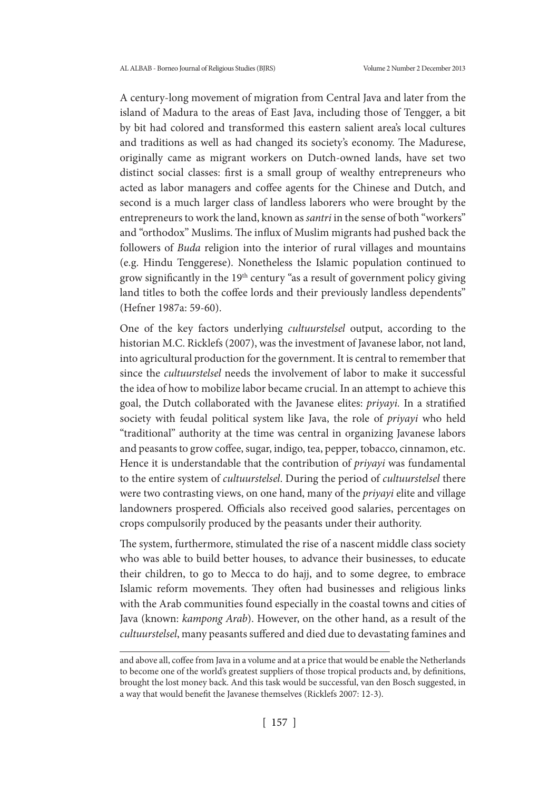A century-long movement of migration from Central Java and later from the island of Madura to the areas of East Java, including those of Tengger, a bit by bit had colored and transformed this eastern salient area's local cultures and traditions as well as had changed its society's economy. The Madurese, originally came as migrant workers on Dutch-owned lands, have set two distinct social classes: first is a small group of wealthy entrepreneurs who acted as labor managers and coffee agents for the Chinese and Dutch, and second is a much larger class of landless laborers who were brought by the entrepreneurs to work the land, known as *santri* in the sense of both "workers" and "orthodox" Muslims. The influx of Muslim migrants had pushed back the followers of *Buda* religion into the interior of rural villages and mountains (e.g. Hindu Tenggerese). Nonetheless the Islamic population continued to grow significantly in the 19th century "as a result of government policy giving land titles to both the coffee lords and their previously landless dependents" (Hefner 1987a: 59-60).

One of the key factors underlying *cultuurstelsel* output, according to the historian M.C. Ricklefs (2007), was the investment of Javanese labor, not land, into agricultural production for the government. It is central to remember that since the *cultuurstelsel* needs the involvement of labor to make it successful the idea of how to mobilize labor became crucial. In an attempt to achieve this goal, the Dutch collaborated with the Javanese elites: *priyayi.* In a stratified society with feudal political system like Java, the role of *priyayi* who held "traditional" authority at the time was central in organizing Javanese labors and peasants to grow coffee, sugar, indigo, tea, pepper, tobacco, cinnamon, etc. Hence it is understandable that the contribution of *priyayi* was fundamental to the entire system of *cultuurstelsel*. During the period of *cultuurstelsel* there were two contrasting views, on one hand, many of the *priyayi* elite and village landowners prospered. Officials also received good salaries, percentages on crops compulsorily produced by the peasants under their authority.

The system, furthermore, stimulated the rise of a nascent middle class society who was able to build better houses, to advance their businesses, to educate their children, to go to Mecca to do hajj, and to some degree, to embrace Islamic reform movements. They often had businesses and religious links with the Arab communities found especially in the coastal towns and cities of Java (known: *kampong Arab*). However, on the other hand, as a result of the *cultuurstelsel*, many peasants suffered and died due to devastating famines and

and above all, coffee from Java in a volume and at a price that would be enable the Netherlands to become one of the world's greatest suppliers of those tropical products and, by definitions, brought the lost money back. And this task would be successful, van den Bosch suggested, in a way that would benefit the Javanese themselves (Ricklefs 2007: 12-3).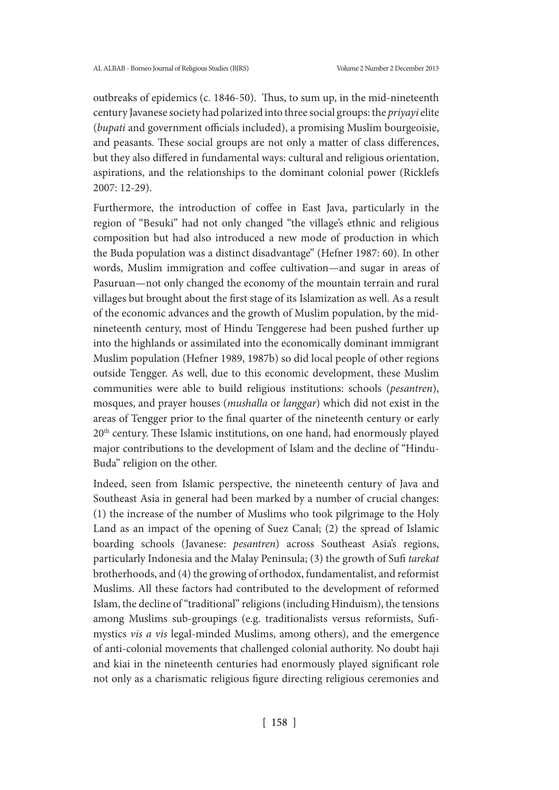outbreaks of epidemics (c. 1846-50). Thus, to sum up, in the mid-nineteenth century Javanese society had polarized into three social groups: the *priyayi* elite (*bupati* and government officials included), a promising Muslim bourgeoisie, and peasants. These social groups are not only a matter of class differences, but they also differed in fundamental ways: cultural and religious orientation, aspirations, and the relationships to the dominant colonial power (Ricklefs 2007: 12-29).

Furthermore, the introduction of coffee in East Java, particularly in the region of "Besuki" had not only changed "the village's ethnic and religious composition but had also introduced a new mode of production in which the Buda population was a distinct disadvantage" (Hefner 1987: 60). In other words, Muslim immigration and coffee cultivation—and sugar in areas of Pasuruan—not only changed the economy of the mountain terrain and rural villages but brought about the first stage of its Islamization as well. As a result of the economic advances and the growth of Muslim population, by the midnineteenth century, most of Hindu Tenggerese had been pushed further up into the highlands or assimilated into the economically dominant immigrant Muslim population (Hefner 1989, 1987b) so did local people of other regions outside Tengger. As well, due to this economic development, these Muslim communities were able to build religious institutions: schools (*pesantren*), mosques, and prayer houses (*mushalla* or *langgar*) which did not exist in the areas of Tengger prior to the final quarter of the nineteenth century or early 20<sup>th</sup> century. These Islamic institutions, on one hand, had enormously played major contributions to the development of Islam and the decline of "Hindu-Buda" religion on the other.

Indeed, seen from Islamic perspective, the nineteenth century of Java and Southeast Asia in general had been marked by a number of crucial changes: (1) the increase of the number of Muslims who took pilgrimage to the Holy Land as an impact of the opening of Suez Canal; (2) the spread of Islamic boarding schools (Javanese: *pesantren*) across Southeast Asia's regions, particularly Indonesia and the Malay Peninsula; (3) the growth of Sufi *tarekat* brotherhoods, and (4) the growing of orthodox, fundamentalist, and reformist Muslims. All these factors had contributed to the development of reformed Islam, the decline of "traditional" religions (including Hinduism), the tensions among Muslims sub-groupings (e.g. traditionalists versus reformists, Sufimystics *vis a vis* legal-minded Muslims, among others), and the emergence of anti-colonial movements that challenged colonial authority. No doubt haji and kiai in the nineteenth centuries had enormously played significant role not only as a charismatic religious figure directing religious ceremonies and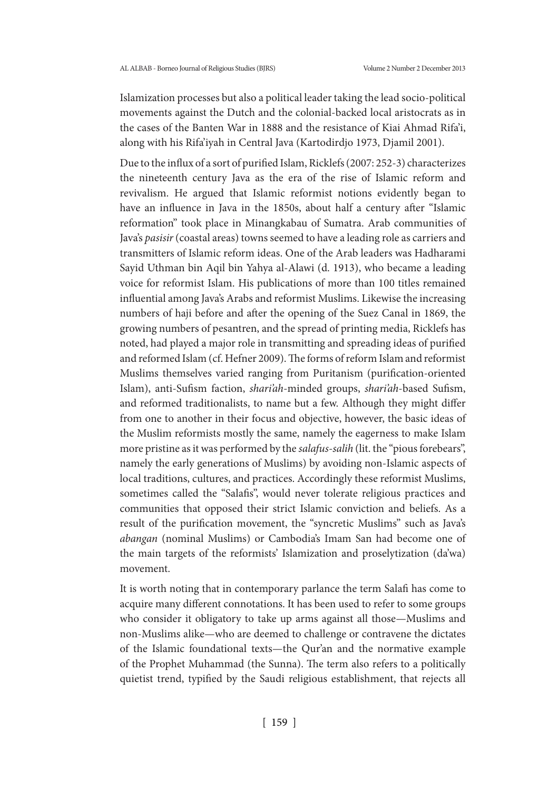Islamization processes but also a political leader taking the lead socio-political movements against the Dutch and the colonial-backed local aristocrats as in the cases of the Banten War in 1888 and the resistance of Kiai Ahmad Rifa'i, along with his Rifa'iyah in Central Java (Kartodirdjo 1973, Djamil 2001).

Due to the influx of a sort of purified Islam, Ricklefs (2007: 252-3) characterizes the nineteenth century Java as the era of the rise of Islamic reform and revivalism. He argued that Islamic reformist notions evidently began to have an influence in Java in the 1850s, about half a century after "Islamic reformation" took place in Minangkabau of Sumatra. Arab communities of Java's *pasisir* (coastal areas) towns seemed to have a leading role as carriers and transmitters of Islamic reform ideas. One of the Arab leaders was Hadharami Sayid Uthman bin Aqil bin Yahya al-Alawi (d. 1913), who became a leading voice for reformist Islam. His publications of more than 100 titles remained influential among Java's Arabs and reformist Muslims. Likewise the increasing numbers of haji before and after the opening of the Suez Canal in 1869, the growing numbers of pesantren, and the spread of printing media, Ricklefs has noted, had played a major role in transmitting and spreading ideas of purified and reformed Islam (cf. Hefner 2009). The forms of reform Islam and reformist Muslims themselves varied ranging from Puritanism (purification-oriented Islam), anti-Sufism faction, *shari'ah*-minded groups, *shari'ah*-based Sufism, and reformed traditionalists, to name but a few. Although they might differ from one to another in their focus and objective, however, the basic ideas of the Muslim reformists mostly the same, namely the eagerness to make Islam more pristine as it was performed by the *salafus-salih* (lit. the "pious forebears", namely the early generations of Muslims) by avoiding non-Islamic aspects of local traditions, cultures, and practices. Accordingly these reformist Muslims, sometimes called the "Salafis", would never tolerate religious practices and communities that opposed their strict Islamic conviction and beliefs. As a result of the purification movement, the "syncretic Muslims" such as Java's *abangan* (nominal Muslims) or Cambodia's Imam San had become one of the main targets of the reformists' Islamization and proselytization (da'wa) movement.

It is worth noting that in contemporary parlance the term Salafi has come to acquire many different connotations. It has been used to refer to some groups who consider it obligatory to take up arms against all those—Muslims and non-Muslims alike—who are deemed to challenge or contravene the dictates of the Islamic foundational texts—the Qur'an and the normative example of the Prophet Muhammad (the Sunna). The term also refers to a politically quietist trend, typified by the Saudi religious establishment, that rejects all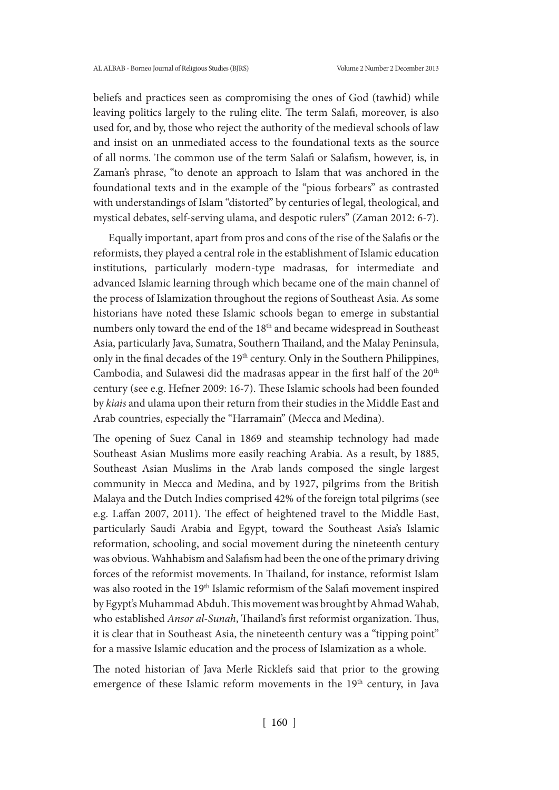beliefs and practices seen as compromising the ones of God (tawhid) while leaving politics largely to the ruling elite. The term Salafi, moreover, is also used for, and by, those who reject the authority of the medieval schools of law and insist on an unmediated access to the foundational texts as the source of all norms. The common use of the term Salafi or Salafism, however, is, in Zaman's phrase, "to denote an approach to Islam that was anchored in the foundational texts and in the example of the "pious forbears" as contrasted with understandings of Islam "distorted" by centuries of legal, theological, and mystical debates, self-serving ulama, and despotic rulers" (Zaman 2012: 6-7).

 Equally important, apart from pros and cons of the rise of the Salafis or the reformists, they played a central role in the establishment of Islamic education institutions, particularly modern-type madrasas, for intermediate and advanced Islamic learning through which became one of the main channel of the process of Islamization throughout the regions of Southeast Asia. As some historians have noted these Islamic schools began to emerge in substantial numbers only toward the end of the 18th and became widespread in Southeast Asia, particularly Java, Sumatra, Southern Thailand, and the Malay Peninsula, only in the final decades of the 19th century. Only in the Southern Philippines, Cambodia, and Sulawesi did the madrasas appear in the first half of the 20<sup>th</sup> century (see e.g. Hefner 2009: 16-7). These Islamic schools had been founded by *kiais* and ulama upon their return from their studies in the Middle East and Arab countries, especially the "Harramain" (Mecca and Medina).

The opening of Suez Canal in 1869 and steamship technology had made Southeast Asian Muslims more easily reaching Arabia. As a result, by 1885, Southeast Asian Muslims in the Arab lands composed the single largest community in Mecca and Medina, and by 1927, pilgrims from the British Malaya and the Dutch Indies comprised 42% of the foreign total pilgrims (see e.g. Laffan 2007, 2011). The effect of heightened travel to the Middle East, particularly Saudi Arabia and Egypt, toward the Southeast Asia's Islamic reformation, schooling, and social movement during the nineteenth century was obvious. Wahhabism and Salafism had been the one of the primary driving forces of the reformist movements. In Thailand, for instance, reformist Islam was also rooted in the 19th Islamic reformism of the Salafi movement inspired by Egypt's Muhammad Abduh. This movement was brought by Ahmad Wahab, who established *Ansor al-Sunah*, Thailand's first reformist organization. Thus, it is clear that in Southeast Asia, the nineteenth century was a "tipping point" for a massive Islamic education and the process of Islamization as a whole.

The noted historian of Java Merle Ricklefs said that prior to the growing emergence of these Islamic reform movements in the 19<sup>th</sup> century, in Java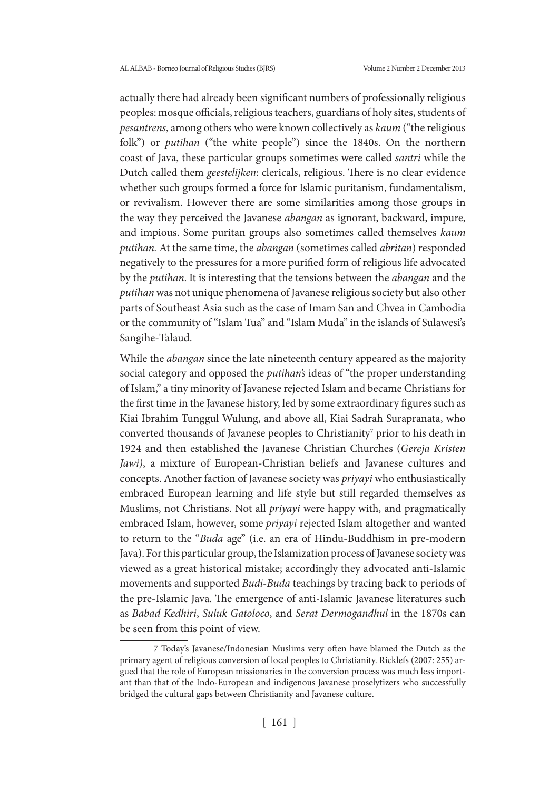actually there had already been significant numbers of professionally religious peoples: mosque officials, religious teachers, guardians of holy sites, students of *pesantrens*, among others who were known collectively as *kaum* ("the religious folk") or *putihan* ("the white people") since the 1840s. On the northern coast of Java, these particular groups sometimes were called *santri* while the Dutch called them *geestelijken*: clericals, religious. There is no clear evidence whether such groups formed a force for Islamic puritanism, fundamentalism, or revivalism. However there are some similarities among those groups in the way they perceived the Javanese *abangan* as ignorant, backward, impure, and impious. Some puritan groups also sometimes called themselves *kaum putihan.* At the same time, the *abangan* (sometimes called *abritan*) responded negatively to the pressures for a more purified form of religious life advocated by the *putihan*. It is interesting that the tensions between the *abangan* and the *putihan* was not unique phenomena of Javanese religious society but also other parts of Southeast Asia such as the case of Imam San and Chvea in Cambodia or the community of "Islam Tua" and "Islam Muda" in the islands of Sulawesi's Sangihe-Talaud.

While the *abangan* since the late nineteenth century appeared as the majority social category and opposed the *putihan's* ideas of "the proper understanding of Islam," a tiny minority of Javanese rejected Islam and became Christians for the first time in the Javanese history, led by some extraordinary figures such as Kiai Ibrahim Tunggul Wulung, and above all, Kiai Sadrah Surapranata, who converted thousands of Javanese peoples to Christianity<sup>7</sup> prior to his death in 1924 and then established the Javanese Christian Churches (*Gereja Kristen Jawi)*, a mixture of European-Christian beliefs and Javanese cultures and concepts. Another faction of Javanese society was *priyayi* who enthusiastically embraced European learning and life style but still regarded themselves as Muslims, not Christians. Not all *priyayi* were happy with, and pragmatically embraced Islam, however, some *priyayi* rejected Islam altogether and wanted to return to the "*Buda* age" (i.e. an era of Hindu-Buddhism in pre-modern Java). For this particular group, the Islamization process of Javanese society was viewed as a great historical mistake; accordingly they advocated anti-Islamic movements and supported *Budi-Buda* teachings by tracing back to periods of the pre-Islamic Java. The emergence of anti-Islamic Javanese literatures such as *Babad Kedhiri*, *Suluk Gatoloco*, and *Serat Dermogandhul* in the 1870s can be seen from this point of view.

<sup>7</sup> Today's Javanese/Indonesian Muslims very often have blamed the Dutch as the primary agent of religious conversion of local peoples to Christianity. Ricklefs (2007: 255) argued that the role of European missionaries in the conversion process was much less important than that of the Indo-European and indigenous Javanese proselytizers who successfully bridged the cultural gaps between Christianity and Javanese culture.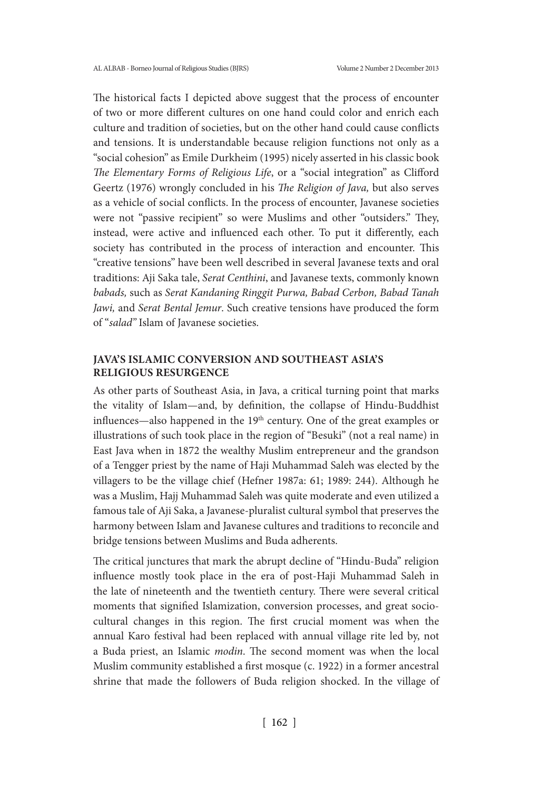The historical facts I depicted above suggest that the process of encounter of two or more different cultures on one hand could color and enrich each culture and tradition of societies, but on the other hand could cause conflicts and tensions. It is understandable because religion functions not only as a "social cohesion" as Emile Durkheim (1995) nicely asserted in his classic book *The Elementary Forms of Religious Life*, or a "social integration" as Clifford Geertz (1976) wrongly concluded in his *The Religion of Java,* but also serves as a vehicle of social conflicts. In the process of encounter, Javanese societies were not "passive recipient" so were Muslims and other "outsiders." They, instead, were active and influenced each other. To put it differently, each society has contributed in the process of interaction and encounter. This "creative tensions" have been well described in several Javanese texts and oral traditions: Aji Saka tale, *Serat Centhini*, and Javanese texts, commonly known *babads,* such as *Serat Kandaning Ringgit Purwa, Babad Cerbon, Babad Tanah Jawi,* and *Serat Bental Jemur*. Such creative tensions have produced the form of "*salad"* Islam of Javanese societies.

# **JAVA'S ISLAMIC CONVERSION AND SOUTHEAST ASIA'S RELIGIOUS RESURGENCE**

As other parts of Southeast Asia, in Java, a critical turning point that marks the vitality of Islam—and, by definition, the collapse of Hindu-Buddhist influences—also happened in the  $19<sup>th</sup>$  century. One of the great examples or illustrations of such took place in the region of "Besuki" (not a real name) in East Java when in 1872 the wealthy Muslim entrepreneur and the grandson of a Tengger priest by the name of Haji Muhammad Saleh was elected by the villagers to be the village chief (Hefner 1987a: 61; 1989: 244). Although he was a Muslim, Hajj Muhammad Saleh was quite moderate and even utilized a famous tale of Aji Saka, a Javanese-pluralist cultural symbol that preserves the harmony between Islam and Javanese cultures and traditions to reconcile and bridge tensions between Muslims and Buda adherents.

The critical junctures that mark the abrupt decline of "Hindu-Buda" religion influence mostly took place in the era of post-Haji Muhammad Saleh in the late of nineteenth and the twentieth century. There were several critical moments that signified Islamization, conversion processes, and great sociocultural changes in this region. The first crucial moment was when the annual Karo festival had been replaced with annual village rite led by, not a Buda priest, an Islamic *modin*. The second moment was when the local Muslim community established a first mosque (c. 1922) in a former ancestral shrine that made the followers of Buda religion shocked. In the village of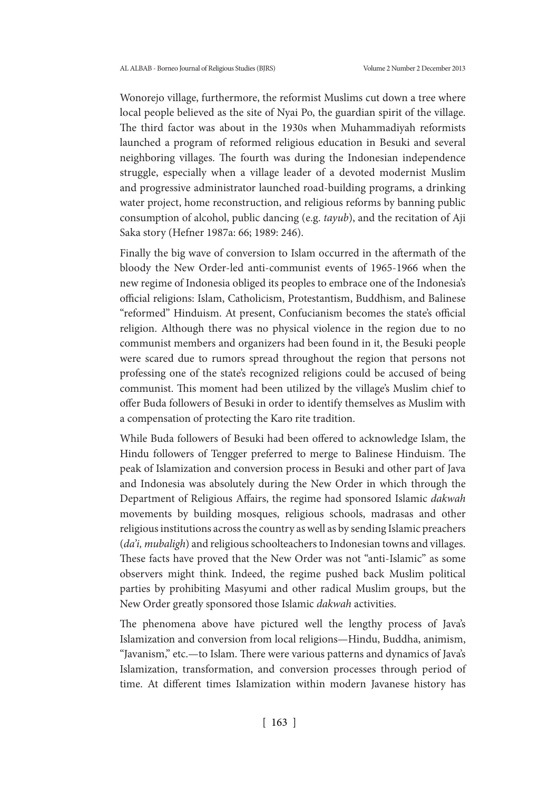Wonorejo village, furthermore, the reformist Muslims cut down a tree where local people believed as the site of Nyai Po, the guardian spirit of the village. The third factor was about in the 1930s when Muhammadiyah reformists launched a program of reformed religious education in Besuki and several neighboring villages. The fourth was during the Indonesian independence struggle, especially when a village leader of a devoted modernist Muslim and progressive administrator launched road-building programs, a drinking water project, home reconstruction, and religious reforms by banning public consumption of alcohol, public dancing (e.g. *tayub*), and the recitation of Aji Saka story (Hefner 1987a: 66; 1989: 246).

Finally the big wave of conversion to Islam occurred in the aftermath of the bloody the New Order-led anti-communist events of 1965-1966 when the new regime of Indonesia obliged its peoples to embrace one of the Indonesia's official religions: Islam, Catholicism, Protestantism, Buddhism, and Balinese "reformed" Hinduism. At present, Confucianism becomes the state's official religion. Although there was no physical violence in the region due to no communist members and organizers had been found in it, the Besuki people were scared due to rumors spread throughout the region that persons not professing one of the state's recognized religions could be accused of being communist. This moment had been utilized by the village's Muslim chief to offer Buda followers of Besuki in order to identify themselves as Muslim with a compensation of protecting the Karo rite tradition.

While Buda followers of Besuki had been offered to acknowledge Islam, the Hindu followers of Tengger preferred to merge to Balinese Hinduism. The peak of Islamization and conversion process in Besuki and other part of Java and Indonesia was absolutely during the New Order in which through the Department of Religious Affairs, the regime had sponsored Islamic *dakwah* movements by building mosques, religious schools, madrasas and other religious institutions across the country as well as by sending Islamic preachers (*da'i, mubaligh*) and religious schoolteachers to Indonesian towns and villages. These facts have proved that the New Order was not "anti-Islamic" as some observers might think. Indeed, the regime pushed back Muslim political parties by prohibiting Masyumi and other radical Muslim groups, but the New Order greatly sponsored those Islamic *dakwah* activities.

The phenomena above have pictured well the lengthy process of Java's Islamization and conversion from local religions—Hindu, Buddha, animism, "Javanism," etc.—to Islam. There were various patterns and dynamics of Java's Islamization, transformation, and conversion processes through period of time. At different times Islamization within modern Javanese history has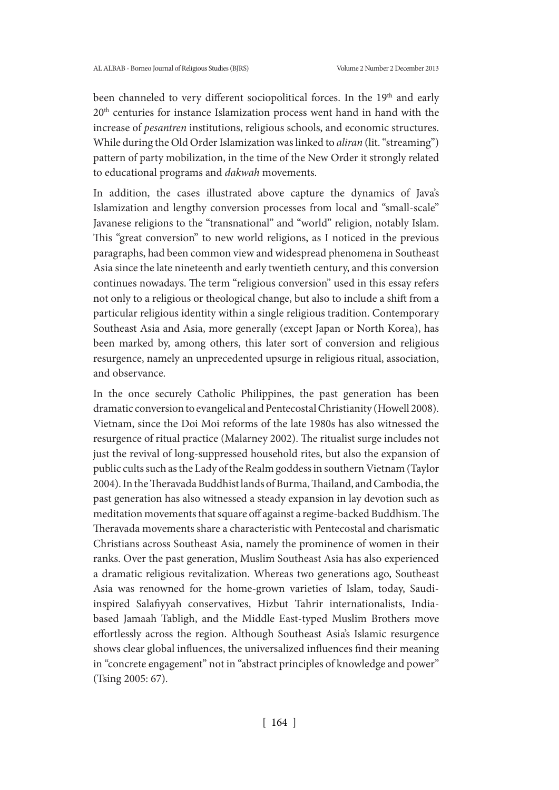been channeled to very different sociopolitical forces. In the 19<sup>th</sup> and early 20th centuries for instance Islamization process went hand in hand with the increase of *pesantren* institutions, religious schools, and economic structures. While during the Old Order Islamization was linked to *aliran* (lit. "streaming") pattern of party mobilization, in the time of the New Order it strongly related to educational programs and *dakwah* movements.

In addition, the cases illustrated above capture the dynamics of Java's Islamization and lengthy conversion processes from local and "small-scale" Javanese religions to the "transnational" and "world" religion, notably Islam. This "great conversion" to new world religions, as I noticed in the previous paragraphs, had been common view and widespread phenomena in Southeast Asia since the late nineteenth and early twentieth century, and this conversion continues nowadays. The term "religious conversion" used in this essay refers not only to a religious or theological change, but also to include a shift from a particular religious identity within a single religious tradition. Contemporary Southeast Asia and Asia, more generally (except Japan or North Korea), has been marked by, among others, this later sort of conversion and religious resurgence, namely an unprecedented upsurge in religious ritual, association, and observance.

In the once securely Catholic Philippines, the past generation has been dramatic conversion to evangelical and Pentecostal Christianity (Howell 2008). Vietnam, since the Doi Moi reforms of the late 1980s has also witnessed the resurgence of ritual practice (Malarney 2002). The ritualist surge includes not just the revival of long-suppressed household rites, but also the expansion of public cults such as the Lady of the Realm goddess in southern Vietnam (Taylor 2004). In the Theravada Buddhist lands of Burma, Thailand, and Cambodia, the past generation has also witnessed a steady expansion in lay devotion such as meditation movements that square off against a regime-backed Buddhism. The Theravada movements share a characteristic with Pentecostal and charismatic Christians across Southeast Asia, namely the prominence of women in their ranks. Over the past generation, Muslim Southeast Asia has also experienced a dramatic religious revitalization. Whereas two generations ago, Southeast Asia was renowned for the home-grown varieties of Islam, today, Saudiinspired Salafiyyah conservatives, Hizbut Tahrir internationalists, Indiabased Jamaah Tabligh, and the Middle East-typed Muslim Brothers move effortlessly across the region. Although Southeast Asia's Islamic resurgence shows clear global influences, the universalized influences find their meaning in "concrete engagement" not in "abstract principles of knowledge and power" (Tsing 2005: 67).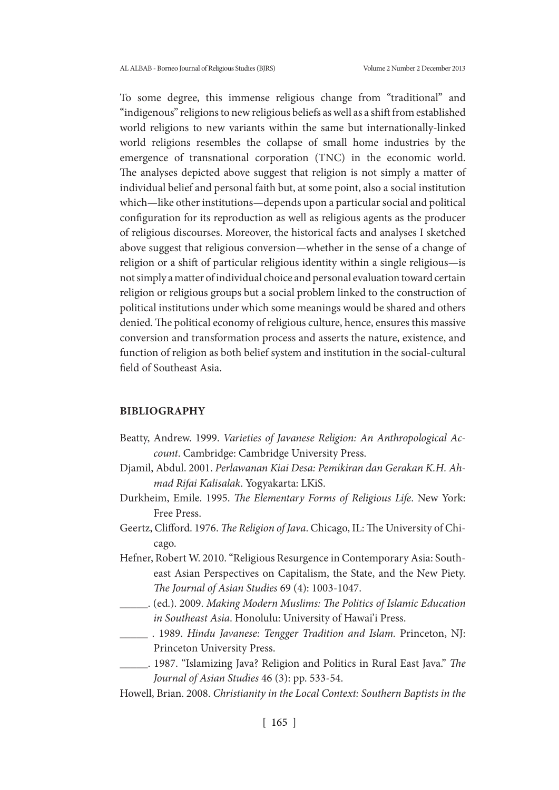To some degree, this immense religious change from "traditional" and "indigenous" religions to new religious beliefs as well as a shift from established world religions to new variants within the same but internationally-linked world religions resembles the collapse of small home industries by the emergence of transnational corporation (TNC) in the economic world. The analyses depicted above suggest that religion is not simply a matter of individual belief and personal faith but, at some point, also a social institution which—like other institutions—depends upon a particular social and political configuration for its reproduction as well as religious agents as the producer of religious discourses. Moreover, the historical facts and analyses I sketched above suggest that religious conversion—whether in the sense of a change of religion or a shift of particular religious identity within a single religious—is not simply a matter of individual choice and personal evaluation toward certain religion or religious groups but a social problem linked to the construction of political institutions under which some meanings would be shared and others denied. The political economy of religious culture, hence, ensures this massive conversion and transformation process and asserts the nature, existence, and function of religion as both belief system and institution in the social-cultural field of Southeast Asia.

### **BIBLIOGRAPHY**

- Beatty, Andrew. 1999. *Varieties of Javanese Religion: An Anthropological Account*. Cambridge: Cambridge University Press.
- Djamil, Abdul. 2001. *Perlawanan Kiai Desa: Pemikiran dan Gerakan K.H. Ahmad Rifai Kalisalak*. Yogyakarta: LKiS.
- Durkheim, Emile. 1995. *The Elementary Forms of Religious Life*. New York: Free Press.
- Geertz, Clifford. 1976. *The Religion of Java*. Chicago, IL: The University of Chicago.
- Hefner, Robert W. 2010. "Religious Resurgence in Contemporary Asia: Southeast Asian Perspectives on Capitalism, the State, and the New Piety. *The Journal of Asian Studies* 69 (4): 1003-1047.
- \_\_\_\_\_. (ed.). 2009. *Making Modern Muslims: The Politics of Islamic Education in Southeast Asia*. Honolulu: University of Hawai'i Press.
- \_\_\_\_\_ . 1989. *Hindu Javanese: Tengger Tradition and Islam.* Princeton, NJ: Princeton University Press.
- \_\_\_\_\_. 1987. "Islamizing Java? Religion and Politics in Rural East Java." *The Journal of Asian Studies* 46 (3): pp. 533-54.
- Howell, Brian. 2008. *Christianity in the Local Context: Southern Baptists in the*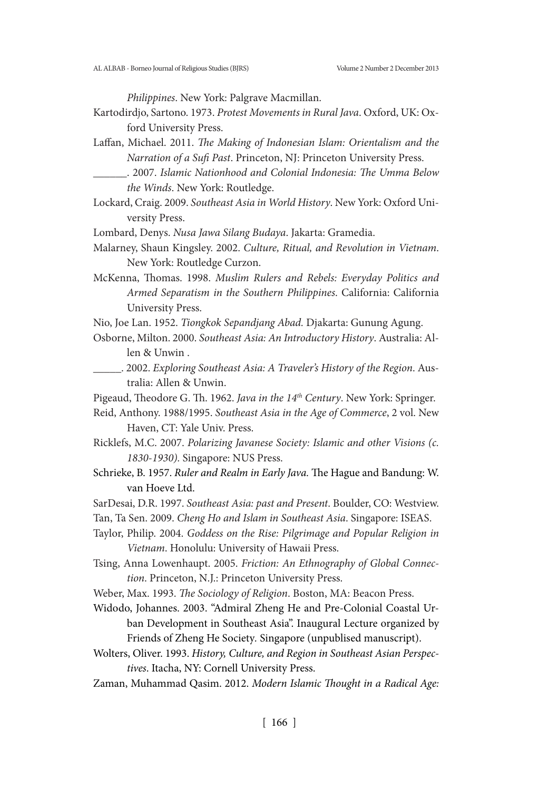*Philippines*. New York: Palgrave Macmillan.

- Kartodirdjo, Sartono. 1973. *Protest Movements in Rural Java*. Oxford, UK: Oxford University Press.
- Laffan, Michael. 2011. *The Making of Indonesian Islam: Orientalism and the Narration of a Sufi Past*. Princeton, NJ: Princeton University Press.
	- \_\_\_\_\_\_. 2007. *Islamic Nationhood and Colonial Indonesia: The Umma Below the Winds*. New York: Routledge.
- Lockard, Craig. 2009. *Southeast Asia in World History*. New York: Oxford University Press.
- Lombard, Denys. *Nusa Jawa Silang Budaya*. Jakarta: Gramedia.
- Malarney, Shaun Kingsley. 2002. *Culture, Ritual, and Revolution in Vietnam*. New York: Routledge Curzon.
- McKenna, Thomas. 1998. *Muslim Rulers and Rebels: Everyday Politics and Armed Separatism in the Southern Philippines*. California: California University Press.
- Nio, Joe Lan. 1952. *Tiongkok Sepandjang Abad.* Djakarta: Gunung Agung.
- Osborne, Milton. 2000. *Southeast Asia: An Introductory History*. Australia: Allen & Unwin .
	- \_\_\_\_\_. 2002. *Exploring Southeast Asia: A Traveler's History of the Region*. Australia: Allen & Unwin.

Pigeaud, Theodore G. Th. 1962. *Java in the 14th Century*. New York: Springer.

- Reid, Anthony. 1988/1995. *Southeast Asia in the Age of Commerce*, 2 vol. New Haven, CT: Yale Univ. Press.
- Ricklefs, M.C. 2007. *Polarizing Javanese Society: Islamic and other Visions (c. 1830-1930).* Singapore: NUS Press.
- Schrieke, B. 1957. *Ruler and Realm in Early Java.* The Hague and Bandung: W. van Hoeve Ltd.
- SarDesai, D.R. 1997. *Southeast Asia: past and Present*. Boulder, CO: Westview.
- Tan, Ta Sen. 2009. *Cheng Ho and Islam in Southeast Asia*. Singapore: ISEAS.
- Taylor, Philip. 2004. *Goddess on the Rise: Pilgrimage and Popular Religion in Vietnam*. Honolulu: University of Hawaii Press.
- Tsing, Anna Lowenhaupt. 2005. *Friction: An Ethnography of Global Connection*. Princeton, N.J.: Princeton University Press.
- Weber, Max. 1993. *The Sociology of Religion*. Boston, MA: Beacon Press.
- Widodo, Johannes. 2003. "Admiral Zheng He and Pre-Colonial Coastal Urban Development in Southeast Asia". Inaugural Lecture organized by Friends of Zheng He Society*.* Singapore (unpublised manuscript).
- Wolters, Oliver. 1993. *History, Culture, and Region in Southeast Asian Perspectives*. Itacha, NY: Cornell University Press.
- Zaman, Muhammad Qasim. 2012. *Modern Islamic Thought in a Radical Age:*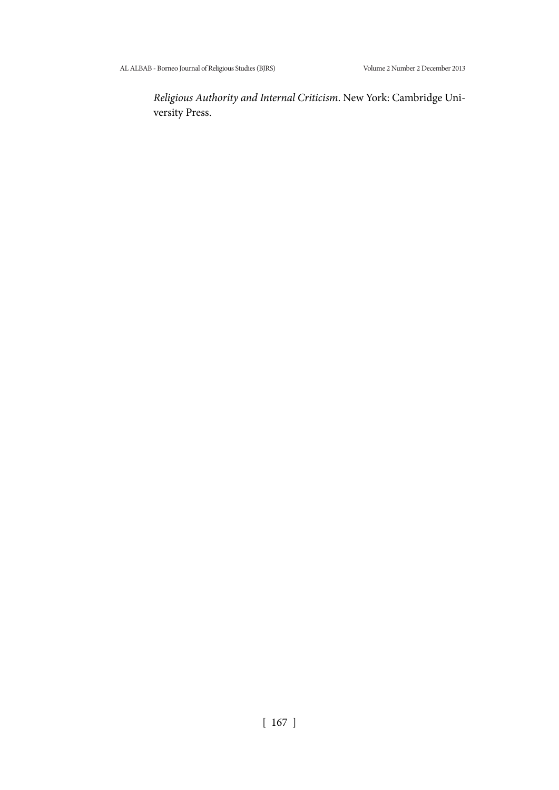*Religious Authority and Internal Criticism*. New York: Cambridge University Press.